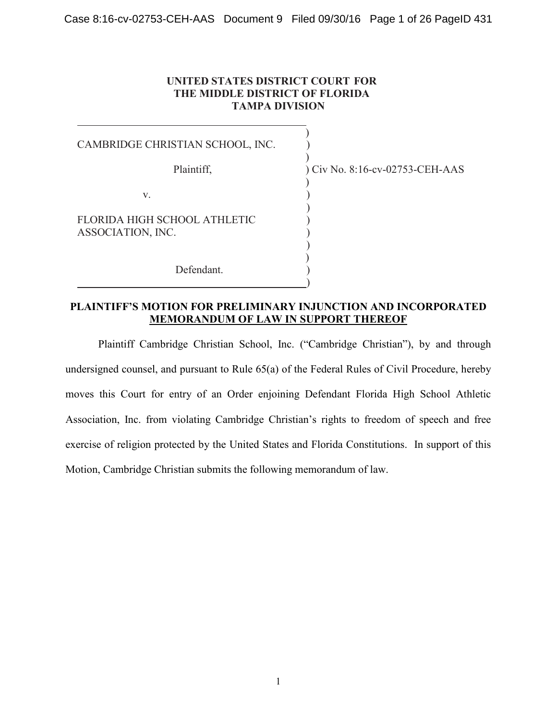#### **UNITED STATES DISTRICT COURT FOR THE MIDDLE DISTRICT OF FLORIDA TAMPA DIVISION**

 $\overline{\phantom{a}}$ 

 $\overline{\phantom{a}}$ 

 $\overline{\phantom{a}}$ 

)

)  $\overline{\phantom{a}}$ 

)

CAMBRIDGE CHRISTIAN SCHOOL, INC. )

 $\mathbf{v}$ .

FLORIDA HIGH SCHOOL ATHLETIC ASSOCIATION, INC. )

Defendant.

Plaintiff,  $\qquad \qquad$  ) Civ No. 8:16-cv-02753-CEH-AAS

### **PLAINTIFF'S MOTION FOR PRELIMINARY INJUNCTION AND INCORPORATED MEMORANDUM OF LAW IN SUPPORT THEREOF**

Plaintiff Cambridge Christian School, Inc. ("Cambridge Christian"), by and through undersigned counsel, and pursuant to Rule 65(a) of the Federal Rules of Civil Procedure, hereby moves this Court for entry of an Order enjoining Defendant Florida High School Athletic Association, Inc. from violating Cambridge Christian's rights to freedom of speech and free exercise of religion protected by the United States and Florida Constitutions. In support of this Motion, Cambridge Christian submits the following memorandum of law.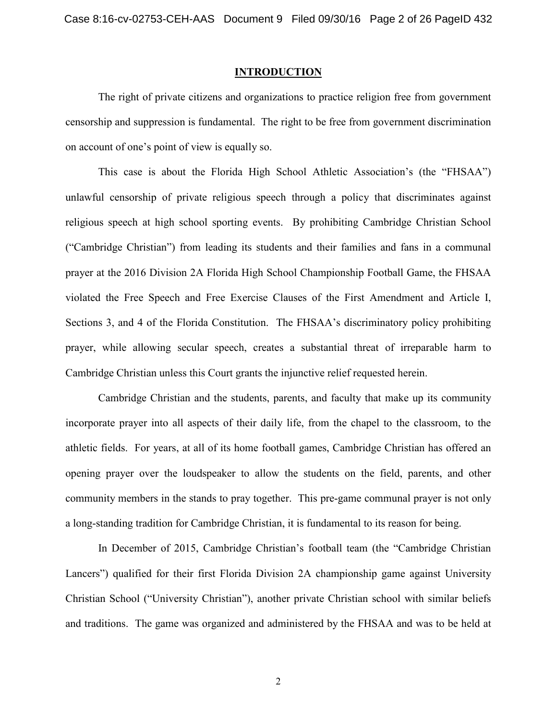#### **INTRODUCTION**

The right of private citizens and organizations to practice religion free from government censorship and suppression is fundamental. The right to be free from government discrimination on account of one's point of view is equally so.

This case is about the Florida High School Athletic Association's (the "FHSAA") unlawful censorship of private religious speech through a policy that discriminates against religious speech at high school sporting events. By prohibiting Cambridge Christian School ("Cambridge Christian") from leading its students and their families and fans in a communal prayer at the 2016 Division 2A Florida High School Championship Football Game, the FHSAA violated the Free Speech and Free Exercise Clauses of the First Amendment and Article I, Sections 3, and 4 of the Florida Constitution. The FHSAA's discriminatory policy prohibiting prayer, while allowing secular speech, creates a substantial threat of irreparable harm to Cambridge Christian unless this Court grants the injunctive relief requested herein.

Cambridge Christian and the students, parents, and faculty that make up its community incorporate prayer into all aspects of their daily life, from the chapel to the classroom, to the athletic fields. For years, at all of its home football games, Cambridge Christian has offered an opening prayer over the loudspeaker to allow the students on the field, parents, and other community members in the stands to pray together. This pre-game communal prayer is not only a long-standing tradition for Cambridge Christian, it is fundamental to its reason for being.

In December of 2015, Cambridge Christian's football team (the "Cambridge Christian Lancers") qualified for their first Florida Division 2A championship game against University Christian School ("University Christian"), another private Christian school with similar beliefs and traditions. The game was organized and administered by the FHSAA and was to be held at

2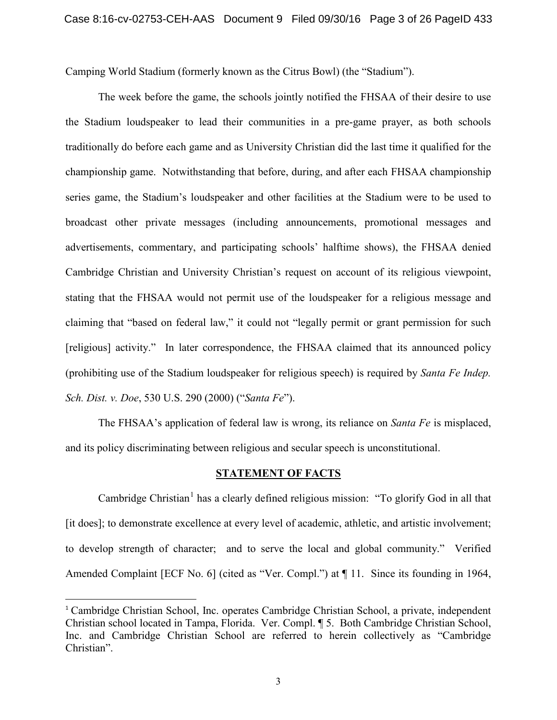Camping World Stadium (formerly known as the Citrus Bowl) (the "Stadium").

The week before the game, the schools jointly notified the FHSAA of their desire to use the Stadium loudspeaker to lead their communities in a pre-game prayer, as both schools traditionally do before each game and as University Christian did the last time it qualified for the championship game. Notwithstanding that before, during, and after each FHSAA championship series game, the Stadium's loudspeaker and other facilities at the Stadium were to be used to broadcast other private messages (including announcements, promotional messages and advertisements, commentary, and participating schools' halftime shows), the FHSAA denied Cambridge Christian and University Christian's request on account of its religious viewpoint, stating that the FHSAA would not permit use of the loudspeaker for a religious message and claiming that "based on federal law," it could not "legally permit or grant permission for such [religious] activity." In later correspondence, the FHSAA claimed that its announced policy (prohibiting use of the Stadium loudspeaker for religious speech) is required by *Santa Fe Indep. Sch. Dist. v. Doe*, 530 U.S. 290 (2000) ("*Santa Fe*").

The FHSAA's application of federal law is wrong, its reliance on *Santa Fe* is misplaced, and its policy discriminating between religious and secular speech is unconstitutional.

#### **STATEMENT OF FACTS**

Cambridge Christian<sup>[1](#page-2-0)</sup> has a clearly defined religious mission: "To glorify God in all that [it does]; to demonstrate excellence at every level of academic, athletic, and artistic involvement; to develop strength of character; and to serve the local and global community." Verified Amended Complaint [ECF No. 6] (cited as "Ver. Compl.") at  $\P$  11. Since its founding in 1964,

<span id="page-2-0"></span><sup>&</sup>lt;sup>1</sup> Cambridge Christian School, Inc. operates Cambridge Christian School, a private, independent Christian school located in Tampa, Florida. Ver. Compl. ¶ 5. Both Cambridge Christian School, Inc. and Cambridge Christian School are referred to herein collectively as "Cambridge Christian".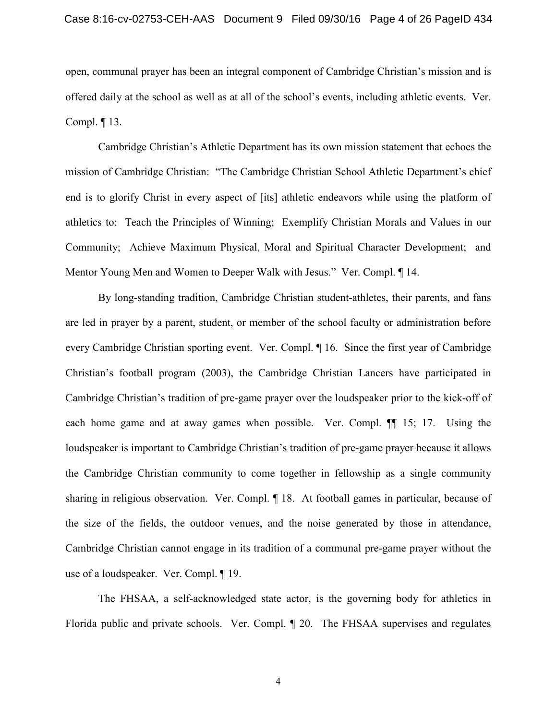open, communal prayer has been an integral component of Cambridge Christian's mission and is offered daily at the school as well as at all of the school's events, including athletic events. Ver. Compl. ¶ 13.

Cambridge Christian's Athletic Department has its own mission statement that echoes the mission of Cambridge Christian: "The Cambridge Christian School Athletic Department's chief end is to glorify Christ in every aspect of [its] athletic endeavors while using the platform of athletics to: Teach the Principles of Winning; Exemplify Christian Morals and Values in our Community; Achieve Maximum Physical, Moral and Spiritual Character Development; and Mentor Young Men and Women to Deeper Walk with Jesus." Ver. Compl. ¶ 14.

By long-standing tradition, Cambridge Christian student-athletes, their parents, and fans are led in prayer by a parent, student, or member of the school faculty or administration before every Cambridge Christian sporting event. Ver. Compl. ¶ 16. Since the first year of Cambridge Christian's football program (2003), the Cambridge Christian Lancers have participated in Cambridge Christian's tradition of pre-game prayer over the loudspeaker prior to the kick-off of each home game and at away games when possible. Ver. Compl.  $\P$  15; 17. Using the loudspeaker is important to Cambridge Christian's tradition of pre-game prayer because it allows the Cambridge Christian community to come together in fellowship as a single community sharing in religious observation. Ver. Compl. ¶ 18. At football games in particular, because of the size of the fields, the outdoor venues, and the noise generated by those in attendance, Cambridge Christian cannot engage in its tradition of a communal pre-game prayer without the use of a loudspeaker. Ver. Compl. ¶ 19.

The FHSAA, a self-acknowledged state actor, is the governing body for athletics in Florida public and private schools. Ver. Compl. ¶ 20. The FHSAA supervises and regulates

4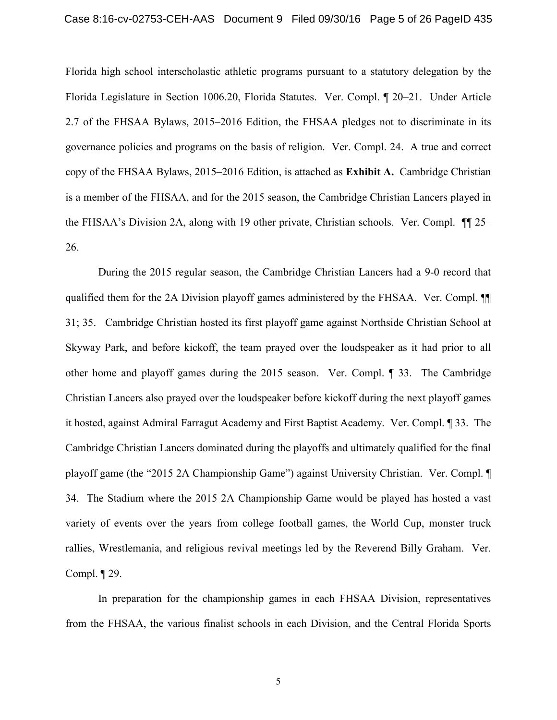Florida high school interscholastic athletic programs pursuant to a statutory delegation by the Florida Legislature in Section 1006.20, Florida Statutes. Ver. Compl. ¶ 20–21. Under Article 2.7 of the FHSAA Bylaws, 2015–2016 Edition, the FHSAA pledges not to discriminate in its governance policies and programs on the basis of religion. Ver. Compl. 24. A true and correct copy of the FHSAA Bylaws, 2015–2016 Edition, is attached as **Exhibit A.** Cambridge Christian is a member of the FHSAA, and for the 2015 season, the Cambridge Christian Lancers played in the FHSAA's Division 2A, along with 19 other private, Christian schools. Ver. Compl. ¶¶ 25– 26.

During the 2015 regular season, the Cambridge Christian Lancers had a 9-0 record that qualified them for the 2A Division playoff games administered by the FHSAA. Ver. Compl. ¶¶ 31; 35. Cambridge Christian hosted its first playoff game against Northside Christian School at Skyway Park, and before kickoff, the team prayed over the loudspeaker as it had prior to all other home and playoff games during the 2015 season. Ver. Compl. ¶ 33. The Cambridge Christian Lancers also prayed over the loudspeaker before kickoff during the next playoff games it hosted, against Admiral Farragut Academy and First Baptist Academy. Ver. Compl. ¶ 33. The Cambridge Christian Lancers dominated during the playoffs and ultimately qualified for the final playoff game (the "2015 2A Championship Game") against University Christian. Ver. Compl. ¶ 34. The Stadium where the 2015 2A Championship Game would be played has hosted a vast variety of events over the years from college football games, the World Cup, monster truck rallies, Wrestlemania, and religious revival meetings led by the Reverend Billy Graham. Ver. Compl. ¶ 29.

In preparation for the championship games in each FHSAA Division, representatives from the FHSAA, the various finalist schools in each Division, and the Central Florida Sports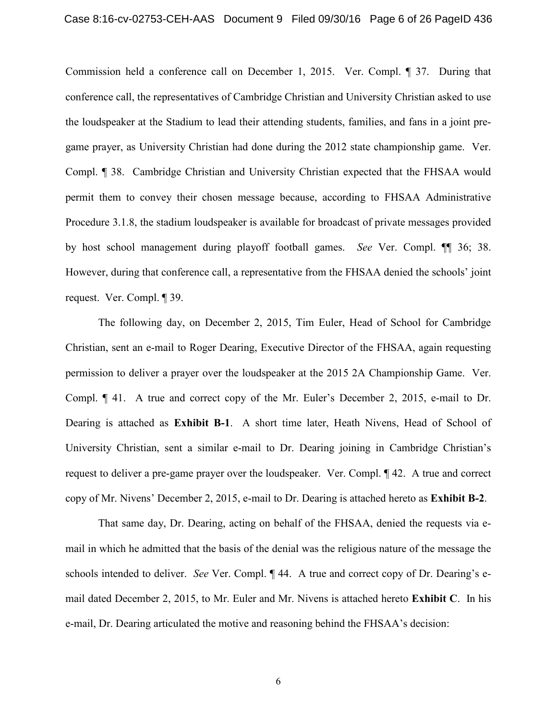Commission held a conference call on December 1, 2015. Ver. Compl. ¶ 37. During that conference call, the representatives of Cambridge Christian and University Christian asked to use the loudspeaker at the Stadium to lead their attending students, families, and fans in a joint pregame prayer, as University Christian had done during the 2012 state championship game. Ver. Compl. ¶ 38. Cambridge Christian and University Christian expected that the FHSAA would permit them to convey their chosen message because, according to FHSAA Administrative Procedure 3.1.8, the stadium loudspeaker is available for broadcast of private messages provided by host school management during playoff football games. *See* Ver. Compl. ¶¶ 36; 38. However, during that conference call, a representative from the FHSAA denied the schools' joint request. Ver. Compl. ¶ 39.

The following day, on December 2, 2015, Tim Euler, Head of School for Cambridge Christian, sent an e-mail to Roger Dearing, Executive Director of the FHSAA, again requesting permission to deliver a prayer over the loudspeaker at the 2015 2A Championship Game. Ver. Compl. ¶ 41. A true and correct copy of the Mr. Euler's December 2, 2015, e-mail to Dr. Dearing is attached as **Exhibit B-1**. A short time later, Heath Nivens, Head of School of University Christian, sent a similar e-mail to Dr. Dearing joining in Cambridge Christian's request to deliver a pre-game prayer over the loudspeaker. Ver. Compl. ¶ 42. A true and correct copy of Mr. Nivens' December 2, 2015, e-mail to Dr. Dearing is attached hereto as **Exhibit B-2**.

That same day, Dr. Dearing, acting on behalf of the FHSAA, denied the requests via email in which he admitted that the basis of the denial was the religious nature of the message the schools intended to deliver. *See* Ver. Compl. ¶ 44. A true and correct copy of Dr. Dearing's email dated December 2, 2015, to Mr. Euler and Mr. Nivens is attached hereto **Exhibit C**. In his e-mail, Dr. Dearing articulated the motive and reasoning behind the FHSAA's decision: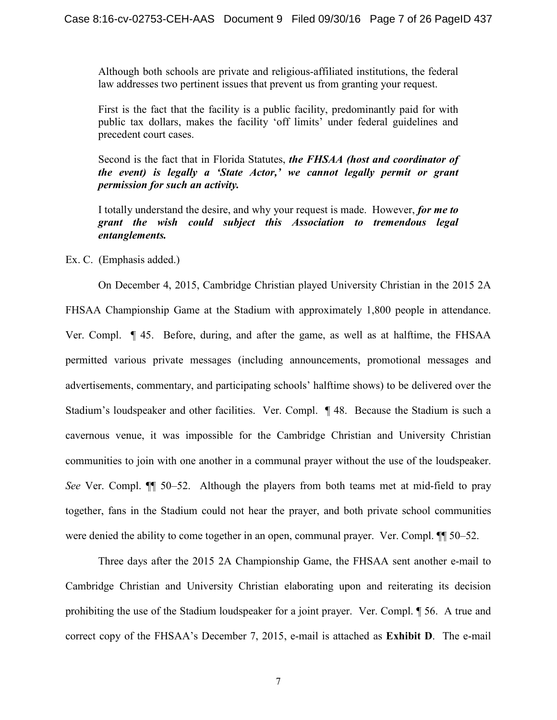Although both schools are private and religious-affiliated institutions, the federal law addresses two pertinent issues that prevent us from granting your request.

First is the fact that the facility is a public facility, predominantly paid for with public tax dollars, makes the facility 'off limits' under federal guidelines and precedent court cases.

Second is the fact that in Florida Statutes, *the FHSAA (host and coordinator of the event) is legally a 'State Actor,' we cannot legally permit or grant permission for such an activity.*

I totally understand the desire, and why your request is made. However, *for me to grant the wish could subject this Association to tremendous legal entanglements.*

Ex. C. (Emphasis added.)

On December 4, 2015, Cambridge Christian played University Christian in the 2015 2A FHSAA Championship Game at the Stadium with approximately 1,800 people in attendance. Ver. Compl. ¶ 45. Before, during, and after the game, as well as at halftime, the FHSAA permitted various private messages (including announcements, promotional messages and advertisements, commentary, and participating schools' halftime shows) to be delivered over the Stadium's loudspeaker and other facilities. Ver. Compl. ¶ 48. Because the Stadium is such a cavernous venue, it was impossible for the Cambridge Christian and University Christian communities to join with one another in a communal prayer without the use of the loudspeaker. *See* Ver. Compl. ¶¶ 50–52. Although the players from both teams met at mid-field to pray together, fans in the Stadium could not hear the prayer, and both private school communities were denied the ability to come together in an open, communal prayer. Ver. Compl.  $\P$  50–52.

Three days after the 2015 2A Championship Game, the FHSAA sent another e-mail to Cambridge Christian and University Christian elaborating upon and reiterating its decision prohibiting the use of the Stadium loudspeaker for a joint prayer. Ver. Compl. ¶ 56. A true and correct copy of the FHSAA's December 7, 2015, e-mail is attached as **Exhibit D**. The e-mail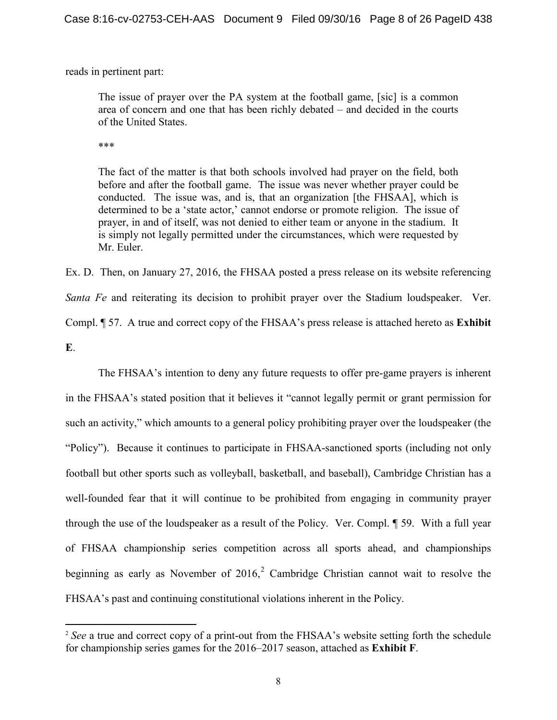reads in pertinent part:

The issue of prayer over the PA system at the football game, [sic] is a common area of concern and one that has been richly debated – and decided in the courts of the United States.

\*\*\*

l

The fact of the matter is that both schools involved had prayer on the field, both before and after the football game. The issue was never whether prayer could be conducted. The issue was, and is, that an organization [the FHSAA], which is determined to be a 'state actor,' cannot endorse or promote religion. The issue of prayer, in and of itself, was not denied to either team or anyone in the stadium. It is simply not legally permitted under the circumstances, which were requested by Mr. Euler.

Ex. D. Then, on January 27, 2016, the FHSAA posted a press release on its website referencing *Santa Fe* and reiterating its decision to prohibit prayer over the Stadium loudspeaker. Ver. Compl. ¶ 57. A true and correct copy of the FHSAA's press release is attached hereto as **Exhibit E**.

The FHSAA's intention to deny any future requests to offer pre-game prayers is inherent in the FHSAA's stated position that it believes it "cannot legally permit or grant permission for such an activity," which amounts to a general policy prohibiting prayer over the loudspeaker (the "Policy"). Because it continues to participate in FHSAA-sanctioned sports (including not only football but other sports such as volleyball, basketball, and baseball), Cambridge Christian has a well-founded fear that it will continue to be prohibited from engaging in community prayer through the use of the loudspeaker as a result of the Policy. Ver. Compl. ¶ 59. With a full year of FHSAA championship series competition across all sports ahead, and championships beginning as early as November of  $2016$  $2016$ , Cambridge Christian cannot wait to resolve the FHSAA's past and continuing constitutional violations inherent in the Policy.

<span id="page-7-0"></span><sup>&</sup>lt;sup>2</sup> See a true and correct copy of a print-out from the FHSAA's website setting forth the schedule for championship series games for the 2016–2017 season, attached as **Exhibit F**.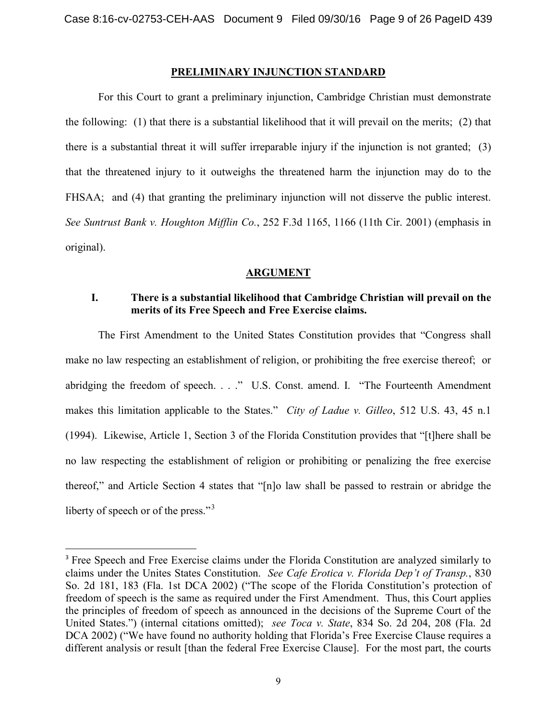#### **PRELIMINARY INJUNCTION STANDARD**

For this Court to grant a preliminary injunction, Cambridge Christian must demonstrate the following: (1) that there is a substantial likelihood that it will prevail on the merits; (2) that there is a substantial threat it will suffer irreparable injury if the injunction is not granted; (3) that the threatened injury to it outweighs the threatened harm the injunction may do to the FHSAA; and (4) that granting the preliminary injunction will not disserve the public interest. *See Suntrust Bank v. Houghton Mifflin Co.*, 252 F.3d 1165, 1166 (11th Cir. 2001) (emphasis in original).

#### **ARGUMENT**

### **I. There is a substantial likelihood that Cambridge Christian will prevail on the merits of its Free Speech and Free Exercise claims.**

The First Amendment to the United States Constitution provides that "Congress shall make no law respecting an establishment of religion, or prohibiting the free exercise thereof; or abridging the freedom of speech. . . ." U.S. Const. amend. I. "The Fourteenth Amendment makes this limitation applicable to the States." *City of Ladue v. Gilleo*, 512 U.S. 43, 45 n.1 (1994). Likewise, Article 1, Section 3 of the Florida Constitution provides that "[t]here shall be no law respecting the establishment of religion or prohibiting or penalizing the free exercise thereof," and Article Section 4 states that "[n]o law shall be passed to restrain or abridge the liberty of speech or of the press."<sup>[3](#page-8-0)</sup>

<span id="page-8-0"></span><sup>&</sup>lt;sup>3</sup> Free Speech and Free Exercise claims under the Florida Constitution are analyzed similarly to claims under the Unites States Constitution. *See Cafe Erotica v. Florida Dep't of Transp.*, 830 So. 2d 181, 183 (Fla. 1st DCA 2002) ("The scope of the Florida Constitution's protection of freedom of speech is the same as required under the First Amendment. Thus, this Court applies the principles of freedom of speech as announced in the decisions of the Supreme Court of the United States.") (internal citations omitted); *see Toca v. State*, 834 So. 2d 204, 208 (Fla. 2d DCA 2002) ("We have found no authority holding that Florida's Free Exercise Clause requires a different analysis or result [than the federal Free Exercise Clause]. For the most part, the courts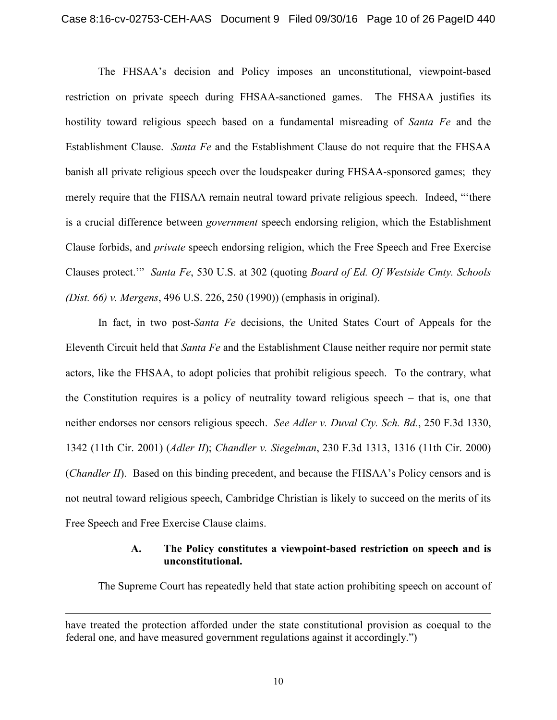The FHSAA's decision and Policy imposes an unconstitutional, viewpoint-based restriction on private speech during FHSAA-sanctioned games. The FHSAA justifies its hostility toward religious speech based on a fundamental misreading of *Santa Fe* and the Establishment Clause. *Santa Fe* and the Establishment Clause do not require that the FHSAA banish all private religious speech over the loudspeaker during FHSAA-sponsored games; they merely require that the FHSAA remain neutral toward private religious speech. Indeed, "'there is a crucial difference between *government* speech endorsing religion, which the Establishment Clause forbids, and *private* speech endorsing religion, which the Free Speech and Free Exercise Clauses protect.'" *Santa Fe*, 530 U.S. at 302 (quoting *Board of Ed. Of Westside Cmty. Schools (Dist. 66) v. Mergens*, 496 U.S. 226, 250 (1990)) (emphasis in original).

In fact, in two post-*Santa Fe* decisions, the United States Court of Appeals for the Eleventh Circuit held that *Santa Fe* and the Establishment Clause neither require nor permit state actors, like the FHSAA, to adopt policies that prohibit religious speech. To the contrary, what the Constitution requires is a policy of neutrality toward religious speech – that is, one that neither endorses nor censors religious speech. *See Adler v. Duval Cty. Sch. Bd.*, 250 F.3d 1330, 1342 (11th Cir. 2001) (*Adler II*); *Chandler v. Siegelman*, 230 F.3d 1313, 1316 (11th Cir. 2000) (*Chandler II*). Based on this binding precedent, and because the FHSAA's Policy censors and is not neutral toward religious speech, Cambridge Christian is likely to succeed on the merits of its Free Speech and Free Exercise Clause claims.

### **A. The Policy constitutes a viewpoint-based restriction on speech and is unconstitutional.**

The Supreme Court has repeatedly held that state action prohibiting speech on account of

l

have treated the protection afforded under the state constitutional provision as coequal to the federal one, and have measured government regulations against it accordingly.")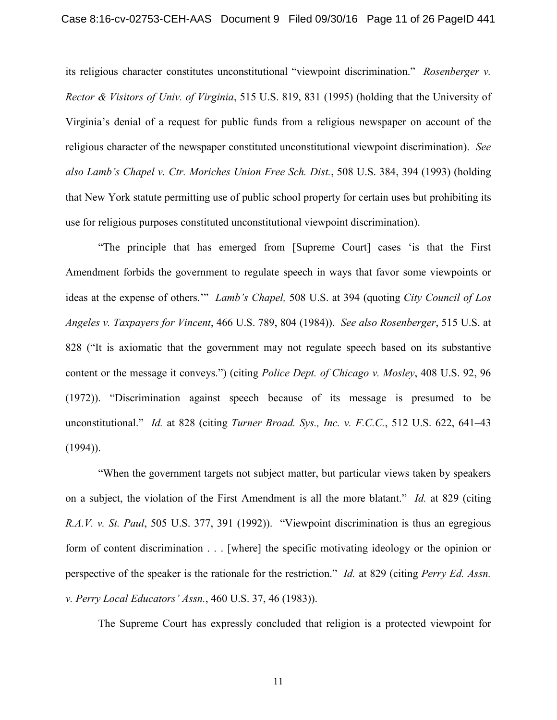its religious character constitutes unconstitutional "viewpoint discrimination." *Rosenberger v. Rector & Visitors of Univ. of Virginia*, 515 U.S. 819, 831 (1995) (holding that the University of Virginia's denial of a request for public funds from a religious newspaper on account of the religious character of the newspaper constituted unconstitutional viewpoint discrimination). *See also Lamb's Chapel v. Ctr. Moriches Union Free Sch. Dist.*, 508 U.S. 384, 394 (1993) (holding that New York statute permitting use of public school property for certain uses but prohibiting its use for religious purposes constituted unconstitutional viewpoint discrimination).

"The principle that has emerged from [Supreme Court] cases 'is that the First Amendment forbids the government to regulate speech in ways that favor some viewpoints or ideas at the expense of others.'" *Lamb's Chapel,* 508 U.S. at 394 (quoting *City Council of Los Angeles v. Taxpayers for Vincent*, 466 U.S. 789, 804 (1984)). *See also Rosenberger*, 515 U.S. at 828 ("It is axiomatic that the government may not regulate speech based on its substantive content or the message it conveys.") (citing *Police Dept. of Chicago v. Mosley*, 408 U.S. 92, 96 (1972)). "Discrimination against speech because of its message is presumed to be unconstitutional." *Id.* at 828 (citing *Turner Broad. Sys., Inc. v. F.C.C.*, 512 U.S. 622, 641–43  $(1994)$ ).

"When the government targets not subject matter, but particular views taken by speakers on a subject, the violation of the First Amendment is all the more blatant." *Id.* at 829 (citing *R.A.V. v. St. Paul*, 505 U.S. 377, 391 (1992)). "Viewpoint discrimination is thus an egregious form of content discrimination . . . [where] the specific motivating ideology or the opinion or perspective of the speaker is the rationale for the restriction." *Id.* at 829 (citing *Perry Ed. Assn. v. Perry Local Educators' Assn.*, 460 U.S. 37, 46 (1983)).

The Supreme Court has expressly concluded that religion is a protected viewpoint for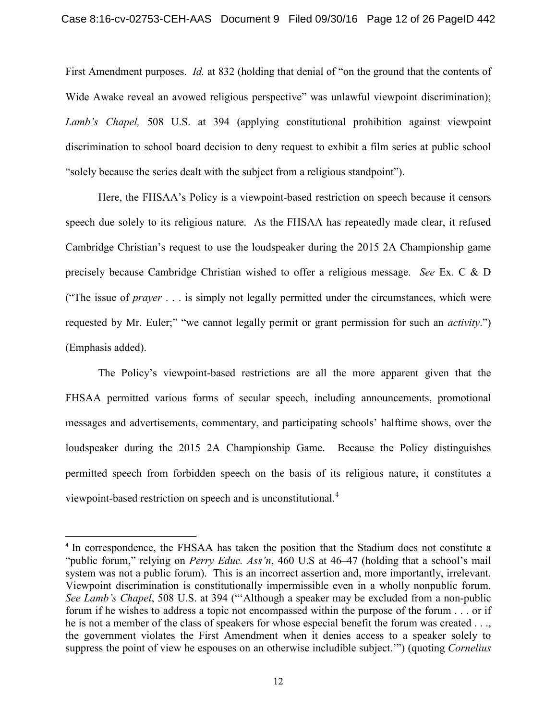First Amendment purposes. *Id.* at 832 (holding that denial of "on the ground that the contents of Wide Awake reveal an avowed religious perspective" was unlawful viewpoint discrimination); *Lamb's Chapel,* 508 U.S. at 394 (applying constitutional prohibition against viewpoint discrimination to school board decision to deny request to exhibit a film series at public school "solely because the series dealt with the subject from a religious standpoint").

Here, the FHSAA's Policy is a viewpoint-based restriction on speech because it censors speech due solely to its religious nature. As the FHSAA has repeatedly made clear, it refused Cambridge Christian's request to use the loudspeaker during the 2015 2A Championship game precisely because Cambridge Christian wished to offer a religious message. *See* Ex. C & D ("The issue of *prayer* . . . is simply not legally permitted under the circumstances, which were requested by Mr. Euler;" "we cannot legally permit or grant permission for such an *activity*.") (Emphasis added).

The Policy's viewpoint-based restrictions are all the more apparent given that the FHSAA permitted various forms of secular speech, including announcements, promotional messages and advertisements, commentary, and participating schools' halftime shows, over the loudspeaker during the 2015 2A Championship Game. Because the Policy distinguishes permitted speech from forbidden speech on the basis of its religious nature, it constitutes a viewpoint-based restriction on speech and is unconstitutional.<sup>[4](#page-11-0)</sup>

<span id="page-11-0"></span><sup>&</sup>lt;sup>4</sup> In correspondence, the FHSAA has taken the position that the Stadium does not constitute a "public forum," relying on *Perry Educ. Ass'n*, 460 U.S at 46–47 (holding that a school's mail system was not a public forum). This is an incorrect assertion and, more importantly, irrelevant. Viewpoint discrimination is constitutionally impermissible even in a wholly nonpublic forum. *See Lamb's Chapel*, 508 U.S. at 394 ("'Although a speaker may be excluded from a non-public forum if he wishes to address a topic not encompassed within the purpose of the forum . . . or if he is not a member of the class of speakers for whose especial benefit the forum was created . . ., the government violates the First Amendment when it denies access to a speaker solely to suppress the point of view he espouses on an otherwise includible subject.'") (quoting *Cornelius*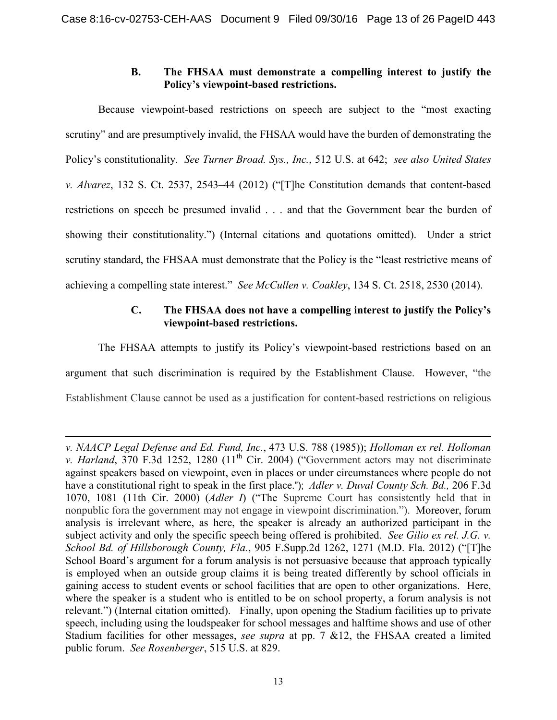## **B. The FHSAA must demonstrate a compelling interest to justify the Policy's viewpoint-based restrictions.**

Because viewpoint-based restrictions on speech are subject to the "most exacting scrutiny" and are presumptively invalid, the FHSAA would have the burden of demonstrating the Policy's constitutionality. *See Turner Broad. Sys., Inc.*, 512 U.S. at 642; *see also United States v. Alvarez*, 132 S. Ct. 2537, 2543–44 (2012) ("[T]he Constitution demands that content-based restrictions on speech be presumed invalid . . . and that the Government bear the burden of showing their constitutionality.") (Internal citations and quotations omitted). Under a strict scrutiny standard, the FHSAA must demonstrate that the Policy is the "least restrictive means of achieving a compelling state interest." *See McCullen v. Coakley*, 134 S. Ct. 2518, 2530 (2014).

## **C. The FHSAA does not have a compelling interest to justify the Policy's viewpoint-based restrictions.**

The FHSAA attempts to justify its Policy's viewpoint-based restrictions based on an argument that such discrimination is required by the Establishment Clause. However, "the Establishment Clause cannot be used as a justification for content-based restrictions on religious

l

*v. NAACP Legal Defense and Ed. Fund, Inc.*, 473 U.S. 788 (1985)); *Holloman ex rel. Holloman v. Harland*, 370 F.3d 1252, 1280 (11<sup>th</sup> Cir. 2004) ("Government actors may not discriminate against speakers based on viewpoint, even in places or under circumstances where people do not have a constitutional right to speak in the first place."); *[Adler v. Duval County Sch. Bd.,](https://1.next.westlaw.com/Link/Document/FullText?findType=Y&serNum=2000075563&pubNum=0000506&originatingDoc=I19fc11248b9811d99a6fdc806bf1638e&refType=RP&fi=co_pp_sp_506_1081&originationContext=document&transitionType=DocumentItem&contextData=(sc.Search)#co_pp_sp_506_1081)* 206 F.3d [1070, 1081 \(11th Cir. 2000\)](https://1.next.westlaw.com/Link/Document/FullText?findType=Y&serNum=2000075563&pubNum=0000506&originatingDoc=I19fc11248b9811d99a6fdc806bf1638e&refType=RP&fi=co_pp_sp_506_1081&originationContext=document&transitionType=DocumentItem&contextData=(sc.Search)#co_pp_sp_506_1081) (*Adler I*) ("The Supreme Court has consistently held that in nonpublic fora the government may not engage in viewpoint discrimination."). Moreover, forum analysis is irrelevant where, as here, the speaker is already an authorized participant in the subject activity and only the specific speech being offered is prohibited. *See Gilio ex rel. J.G. v. School Bd. of Hillsborough County, Fla.*, 905 F.Supp.2d 1262, 1271 (M.D. Fla. 2012) ("[T]he School Board's argument for a forum analysis is not persuasive because that approach typically is employed when an outside group claims it is being treated differently by school officials in gaining access to student events or school facilities that are open to other organizations. Here, where the speaker is a student who is entitled to be on school property, a forum analysis is not relevant.") (Internal citation omitted). Finally, upon opening the Stadium facilities up to private speech, including using the loudspeaker for school messages and halftime shows and use of other Stadium facilities for other messages, *see supra* at pp. 7 &12, the FHSAA created a limited public forum. *See Rosenberger*, 515 U.S. at 829.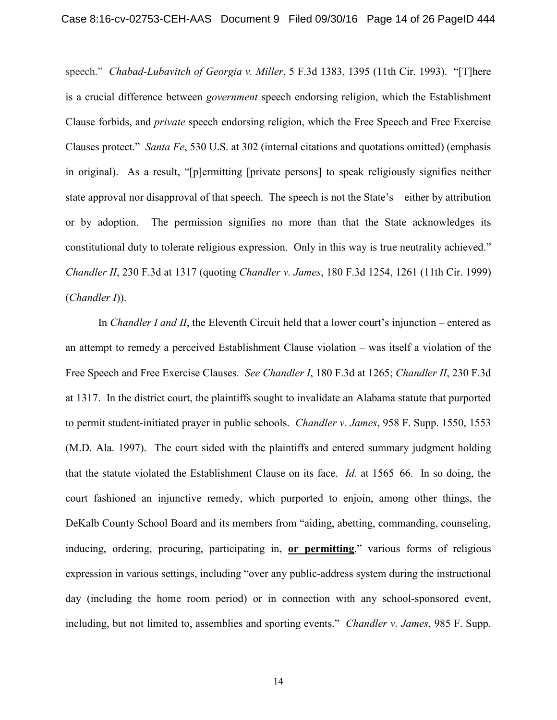speech." *Chabad-Lubavitch of Georgia v. Miller*, 5 F.3d 1383, 1395 (11th Cir. 1993). "[T]here is a crucial difference between *government* speech endorsing religion, which the Establishment Clause forbids, and *private* speech endorsing religion, which the Free Speech and Free Exercise Clauses protect." *Santa Fe*, 530 U.S. at 302 (internal citations and quotations omitted) (emphasis in original). As a result, "[p]ermitting [private persons] to speak religiously signifies neither state approval nor disapproval of that speech. The speech is not the State's—either by attribution or by adoption. The permission signifies no more than that the State acknowledges its constitutional duty to tolerate religious expression. Only in this way is true neutrality achieved." *Chandler II*, 230 F.3d at 1317 (quoting *Chandler v. James*, 180 F.3d 1254, 1261 (11th Cir. 1999) (*Chandler I*)).

In *Chandler I and II*, the Eleventh Circuit held that a lower court's injunction – entered as an attempt to remedy a perceived Establishment Clause violation – was itself a violation of the Free Speech and Free Exercise Clauses. *See Chandler I*, 180 F.3d at 1265; *Chandler II*, 230 F.3d at 1317. In the district court, the plaintiffs sought to invalidate an Alabama statute that purported to permit student-initiated prayer in public schools. *Chandler v. James*, 958 F. Supp. 1550, 1553 (M.D. Ala. 1997). The court sided with the plaintiffs and entered summary judgment holding that the statute violated the Establishment Clause on its face. *Id.* at 1565–66. In so doing, the court fashioned an injunctive remedy, which purported to enjoin, among other things, the DeKalb County School Board and its members from "aiding, abetting, commanding, counseling, inducing, ordering, procuring, participating in, **or permitting**," various forms of religious expression in various settings, including "over any public-address system during the instructional day (including the home room period) or in connection with any school-sponsored event, including, but not limited to, assemblies and sporting events." *Chandler v. James*, 985 F. Supp.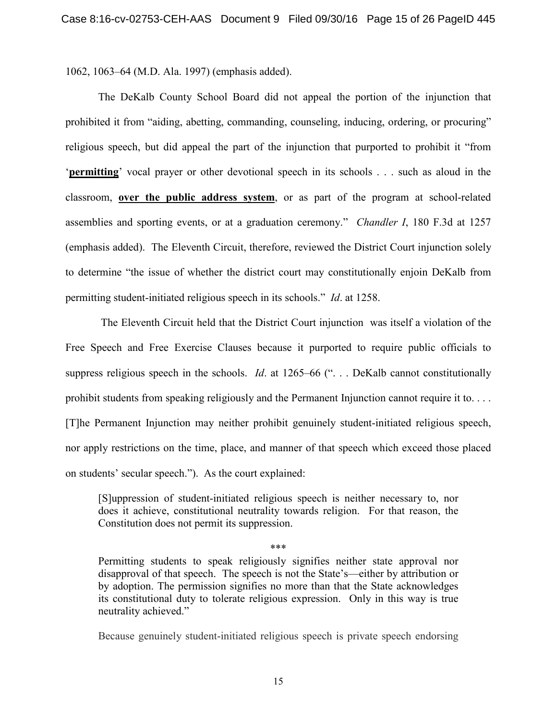1062, 1063–64 (M.D. Ala. 1997) (emphasis added).

The DeKalb County School Board did not appeal the portion of the injunction that prohibited it from "aiding, abetting, commanding, counseling, inducing, ordering, or procuring" religious speech, but did appeal the part of the injunction that purported to prohibit it "from '**permitting**' vocal prayer or other devotional speech in its schools . . . such as aloud in the classroom, **over the public address system**, or as part of the program at school-related assemblies and sporting events, or at a graduation ceremony." *Chandler I*, 180 F.3d at 1257 (emphasis added). The Eleventh Circuit, therefore, reviewed the District Court injunction solely to determine "the issue of whether the district court may constitutionally enjoin DeKalb from permitting student-initiated religious speech in its schools." *Id*. at 1258.

The Eleventh Circuit held that the District Court injunction was itself a violation of the Free Speech and Free Exercise Clauses because it purported to require public officials to suppress religious speech in the schools. *Id.* at 1265–66 ("... DeKalb cannot constitutionally prohibit students from speaking religiously and the Permanent Injunction cannot require it to. . . . [T]he Permanent Injunction may neither prohibit genuinely student-initiated religious speech, nor apply restrictions on the time, place, and manner of that speech which exceed those placed on students' secular speech."). As the court explained:

[S]uppression of student-initiated religious speech is neither necessary to, nor does it achieve, constitutional neutrality towards religion. For that reason, the Constitution does not permit its suppression.

\*\*\*

Permitting students to speak religiously signifies neither state approval nor disapproval of that speech. The speech is not the State's—either by attribution or by adoption. The permission signifies no more than that the State acknowledges its constitutional duty to tolerate religious expression. Only in this way is true neutrality achieved."

Because genuinely student-initiated religious speech is private speech endorsing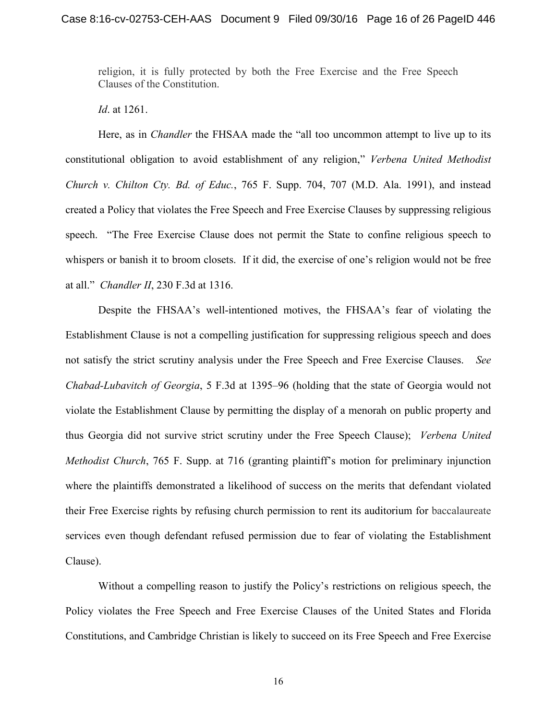religion, it is fully protected by both the Free Exercise and the Free Speech Clauses of the Constitution.

*Id*. at 1261.

Here, as in *Chandler* the FHSAA made the "all too uncommon attempt to live up to its constitutional obligation to avoid establishment of any religion," *Verbena United Methodist Church v. Chilton Cty. Bd. of Educ.*, 765 F. Supp. 704, 707 (M.D. Ala. 1991), and instead created a Policy that violates the Free Speech and Free Exercise Clauses by suppressing religious speech. "The Free Exercise Clause does not permit the State to confine religious speech to whispers or banish it to broom closets. If it did, the exercise of one's religion would not be free at all." *Chandler II*, 230 F.3d at 1316.

Despite the FHSAA's well-intentioned motives, the FHSAA's fear of violating the Establishment Clause is not a compelling justification for suppressing religious speech and does not satisfy the strict scrutiny analysis under the Free Speech and Free Exercise Clauses. *See Chabad-Lubavitch of Georgia*, 5 F.3d at 1395–96 (holding that the state of Georgia would not violate the Establishment Clause by permitting the display of a menorah on public property and thus Georgia did not survive strict scrutiny under the Free Speech Clause); *Verbena United Methodist Church*, 765 F. Supp. at 716 (granting plaintiff's motion for preliminary injunction where the plaintiffs demonstrated a likelihood of success on the merits that defendant violated their Free Exercise rights by refusing church permission to rent its auditorium for baccalaureate services even though defendant refused permission due to fear of violating the Establishment Clause).

Without a compelling reason to justify the Policy's restrictions on religious speech, the Policy violates the Free Speech and Free Exercise Clauses of the United States and Florida Constitutions, and Cambridge Christian is likely to succeed on its Free Speech and Free Exercise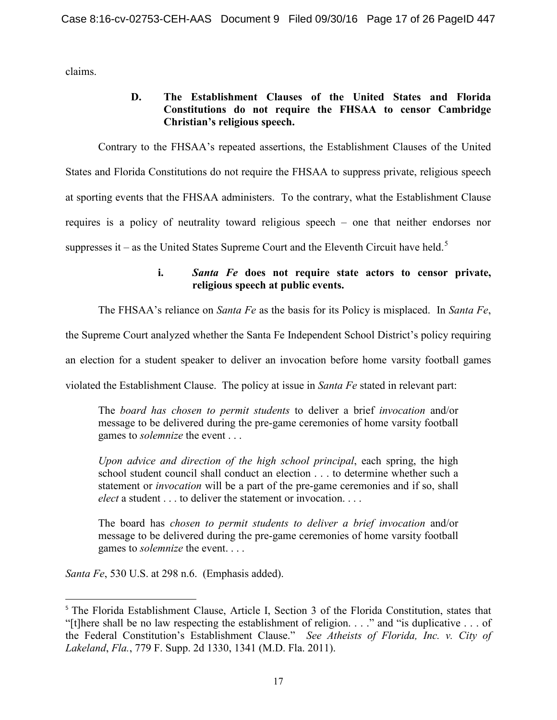claims.

## **D. The Establishment Clauses of the United States and Florida Constitutions do not require the FHSAA to censor Cambridge Christian's religious speech.**

Contrary to the FHSAA's repeated assertions, the Establishment Clauses of the United States and Florida Constitutions do not require the FHSAA to suppress private, religious speech at sporting events that the FHSAA administers. To the contrary, what the Establishment Clause requires is a policy of neutrality toward religious speech – one that neither endorses nor suppresses it – as the United States Supreme Court and the Eleventh Circuit have held.<sup>[5](#page-16-0)</sup>

## **i.** *Santa Fe* **does not require state actors to censor private, religious speech at public events.**

The FHSAA's reliance on *Santa Fe* as the basis for its Policy is misplaced. In *Santa Fe*,

the Supreme Court analyzed whether the Santa Fe Independent School District's policy requiring

an election for a student speaker to deliver an invocation before home varsity football games

violated the Establishment Clause. The policy at issue in *Santa Fe* stated in relevant part:

The *board has chosen to permit students* to deliver a brief *invocation* and/or message to be delivered during the pre-game ceremonies of home varsity football games to *solemnize* the event . . .

*Upon advice and direction of the high school principal*, each spring, the high school student council shall conduct an election . . . to determine whether such a statement or *invocation* will be a part of the pre-game ceremonies and if so, shall *elect* a student . . . to deliver the statement or invocation. . . .

The board has *chosen to permit students to deliver a brief invocation* and/or message to be delivered during the pre-game ceremonies of home varsity football games to *solemnize* the event. . . .

*Santa Fe*, 530 U.S. at 298 n.6. (Emphasis added).

<span id="page-16-0"></span><sup>&</sup>lt;sup>5</sup> The Florida Establishment Clause, Article I, Section 3 of the Florida Constitution, states that "[t]here shall be no law respecting the establishment of religion. . . ." and "is duplicative . . . of the Federal Constitution's Establishment Clause." *See Atheists of Florida, Inc. v. City of Lakeland*, *Fla.*, 779 F. Supp. 2d 1330, 1341 (M.D. Fla. 2011).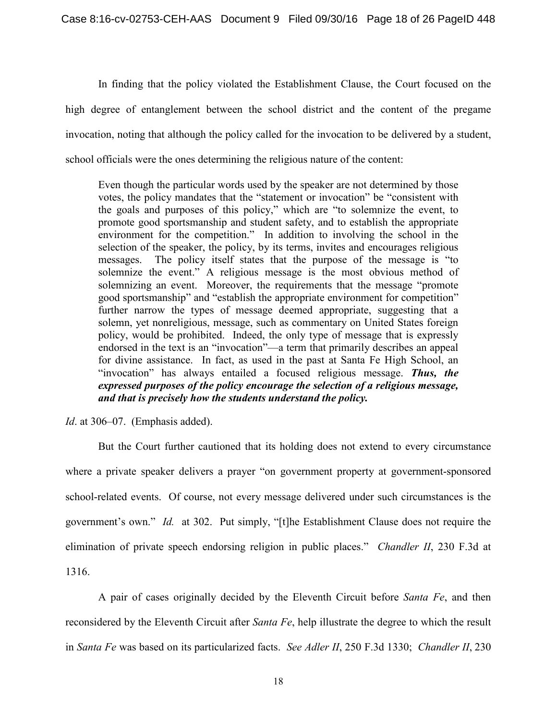In finding that the policy violated the Establishment Clause, the Court focused on the high degree of entanglement between the school district and the content of the pregame invocation, noting that although the policy called for the invocation to be delivered by a student, school officials were the ones determining the religious nature of the content:

Even though the particular words used by the speaker are not determined by those votes, the policy mandates that the "statement or invocation" be "consistent with the goals and purposes of this policy," which are "to solemnize the event, to promote good sportsmanship and student safety, and to establish the appropriate environment for the competition." In addition to involving the school in the selection of the speaker, the policy, by its terms, invites and encourages religious messages. The policy itself states that the purpose of the message is "to solemnize the event." A religious message is the most obvious method of solemnizing an event. Moreover, the requirements that the message "promote good sportsmanship" and "establish the appropriate environment for competition" further narrow the types of message deemed appropriate, suggesting that a solemn, yet nonreligious, message, such as commentary on United States foreign policy, would be prohibited. Indeed, the only type of message that is expressly endorsed in the text is an "invocation"—a term that primarily describes an appeal for divine assistance. In fact, as used in the past at Santa Fe High School, an "invocation" has always entailed a focused religious message. *Thus, the expressed purposes of the policy encourage the selection of a religious message, and that is precisely how the students understand the policy.*

*Id*. at 306–07. (Emphasis added).

But the Court further cautioned that its holding does not extend to every circumstance where a private speaker delivers a prayer "on government property at government-sponsored school-related events. Of course, not every message delivered under such circumstances is the government's own." *Id.* at 302. Put simply, "[t]he Establishment Clause does not require the elimination of private speech endorsing religion in public places." *Chandler II*, 230 F.3d at 1316.

A pair of cases originally decided by the Eleventh Circuit before *Santa Fe*, and then reconsidered by the Eleventh Circuit after *Santa Fe*, help illustrate the degree to which the result in *Santa Fe* was based on its particularized facts. *See Adler II*, 250 F.3d 1330; *Chandler II*, 230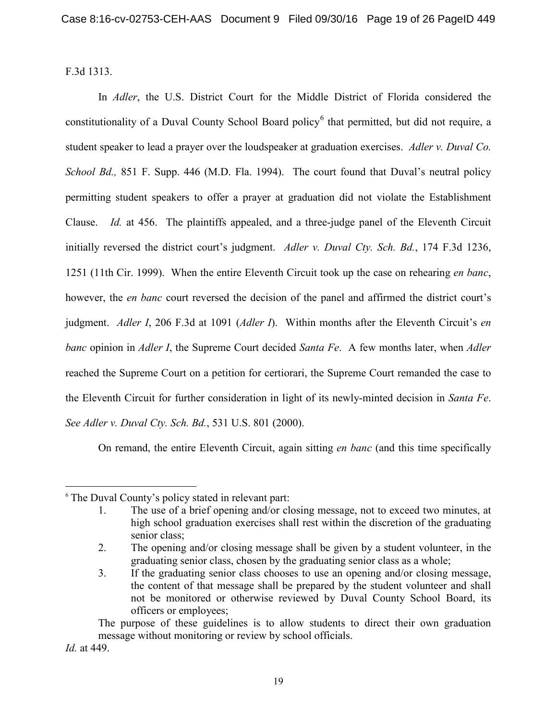F.3d 1313.

In *Adler*, the U.S. District Court for the Middle District of Florida considered the constitutionality of a Duval County School Board policy<sup>[6](#page-18-0)</sup> that permitted, but did not require, a student speaker to lead a prayer over the loudspeaker at graduation exercises. *Adler v. Duval Co. School Bd.,* 851 F. Supp. 446 (M.D. Fla. 1994). The court found that Duval's neutral policy permitting student speakers to offer a prayer at graduation did not violate the Establishment Clause. *Id.* at 456. The plaintiffs appealed, and a three-judge panel of the Eleventh Circuit initially reversed the district court's judgment. *Adler v. Duval Cty. Sch. Bd.*, 174 F.3d 1236, 1251 (11th Cir. 1999). When the entire Eleventh Circuit took up the case on rehearing *en banc*, however, the *en banc* court reversed the decision of the panel and affirmed the district court's judgment. *Adler I*, 206 F.3d at 1091 (*Adler I*). Within months after the Eleventh Circuit's *en banc* opinion in *Adler I*, the Supreme Court decided *Santa Fe*. A few months later, when *Adler*  reached the Supreme Court on a petition for certiorari, the Supreme Court remanded the case to the Eleventh Circuit for further consideration in light of its newly-minted decision in *Santa Fe*. *See Adler v. Duval Cty. Sch. Bd.*, 531 U.S. 801 (2000).

On remand, the entire Eleventh Circuit, again sitting *en banc* (and this time specifically

The purpose of these guidelines is to allow students to direct their own graduation message without monitoring or review by school officials.

*Id.* at 449.

l

<span id="page-18-0"></span><sup>6</sup> The Duval County's policy stated in relevant part:

<sup>1.</sup> The use of a brief opening and/or closing message, not to exceed two minutes, at high school graduation exercises shall rest within the discretion of the graduating senior class;

<sup>2.</sup> The opening and/or closing message shall be given by a student volunteer, in the graduating senior class, chosen by the graduating senior class as a whole;

<sup>3.</sup> If the graduating senior class chooses to use an opening and/or closing message, the content of that message shall be prepared by the student volunteer and shall not be monitored or otherwise reviewed by Duval County School Board, its officers or employees;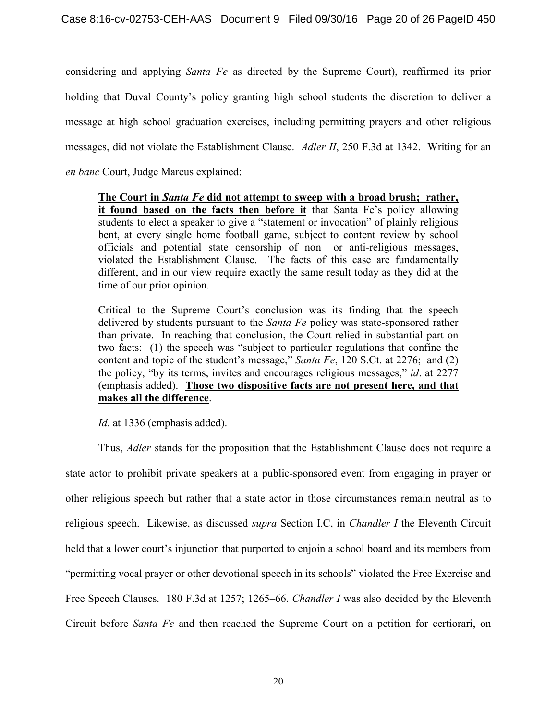considering and applying *Santa Fe* as directed by the Supreme Court), reaffirmed its prior holding that Duval County's policy granting high school students the discretion to deliver a message at high school graduation exercises, including permitting prayers and other religious messages, did not violate the Establishment Clause. *Adler II*, 250 F.3d at 1342. Writing for an *en banc* Court, Judge Marcus explained:

**The Court in** *Santa Fe* **did not attempt to sweep with a broad brush; rather, it found based on the facts then before it** that Santa Fe's policy allowing students to elect a speaker to give a "statement or invocation" of plainly religious bent, at every single home football game, subject to content review by school officials and potential state censorship of non– or anti-religious messages, violated the Establishment Clause. The facts of this case are fundamentally different, and in our view require exactly the same result today as they did at the time of our prior opinion.

Critical to the Supreme Court's conclusion was its finding that the speech delivered by students pursuant to the *Santa Fe* policy was state-sponsored rather than private. In reaching that conclusion, the Court relied in substantial part on two facts: (1) the speech was "subject to particular regulations that confine the content and topic of the student's message," *Santa Fe*, 120 S.Ct. at 2276; and (2) the policy, "by its terms, invites and encourages religious messages," *id*. at 2277 (emphasis added). **Those two dispositive facts are not present here, and that makes all the difference**.

*Id*. at 1336 (emphasis added).

Thus, *Adler* stands for the proposition that the Establishment Clause does not require a state actor to prohibit private speakers at a public-sponsored event from engaging in prayer or other religious speech but rather that a state actor in those circumstances remain neutral as to religious speech. Likewise, as discussed *supra* Section I.C, in *Chandler I* the Eleventh Circuit held that a lower court's injunction that purported to enjoin a school board and its members from "permitting vocal prayer or other devotional speech in its schools" violated the Free Exercise and Free Speech Clauses. 180 F.3d at 1257; 1265–66. *Chandler I* was also decided by the Eleventh Circuit before *Santa Fe* and then reached the Supreme Court on a petition for certiorari, on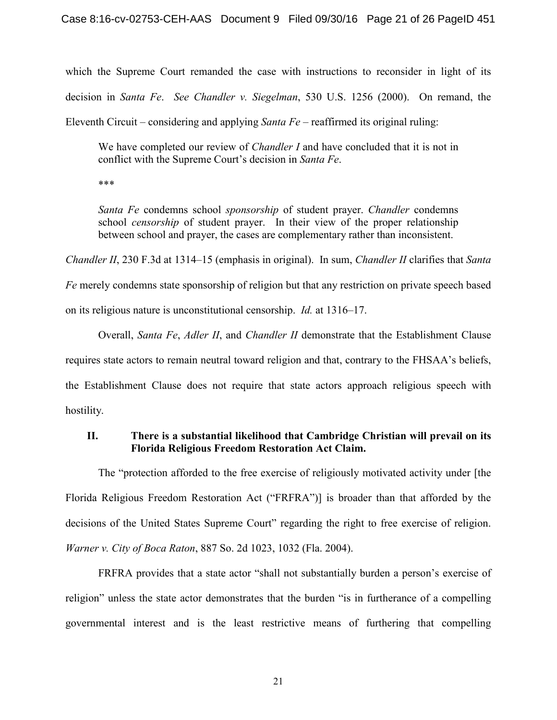which the Supreme Court remanded the case with instructions to reconsider in light of its decision in *Santa Fe*. *See Chandler v. Siegelman*, 530 U.S. 1256 (2000). On remand, the Eleventh Circuit – considering and applying *Santa Fe* – reaffirmed its original ruling:

We have completed our review of *Chandler I* and have concluded that it is not in conflict with the Supreme Court's decision in *Santa Fe*.

\*\*\*

*Santa Fe* condemns school *sponsorship* of student prayer. *Chandler* condemns school *censorship* of student prayer. In their view of the proper relationship between school and prayer, the cases are complementary rather than inconsistent.

*Chandler II*, 230 F.3d at 1314–15 (emphasis in original). In sum, *Chandler II* clarifies that *Santa Fe* merely condemns state sponsorship of religion but that any restriction on private speech based on its religious nature is unconstitutional censorship. *Id.* at 1316–17.

Overall, *Santa Fe*, *Adler II*, and *Chandler II* demonstrate that the Establishment Clause requires state actors to remain neutral toward religion and that, contrary to the FHSAA's beliefs, the Establishment Clause does not require that state actors approach religious speech with hostility.

## **II. There is a substantial likelihood that Cambridge Christian will prevail on its Florida Religious Freedom Restoration Act Claim.**

The "protection afforded to the free exercise of religiously motivated activity under [the Florida Religious Freedom Restoration Act ("FRFRA")] is broader than that afforded by the decisions of the United States Supreme Court" regarding the right to free exercise of religion. *Warner v. City of Boca Raton*, 887 So. 2d 1023, 1032 (Fla. 2004).

FRFRA provides that a state actor "shall not substantially burden a person's exercise of religion" unless the state actor demonstrates that the burden "is in furtherance of a compelling governmental interest and is the least restrictive means of furthering that compelling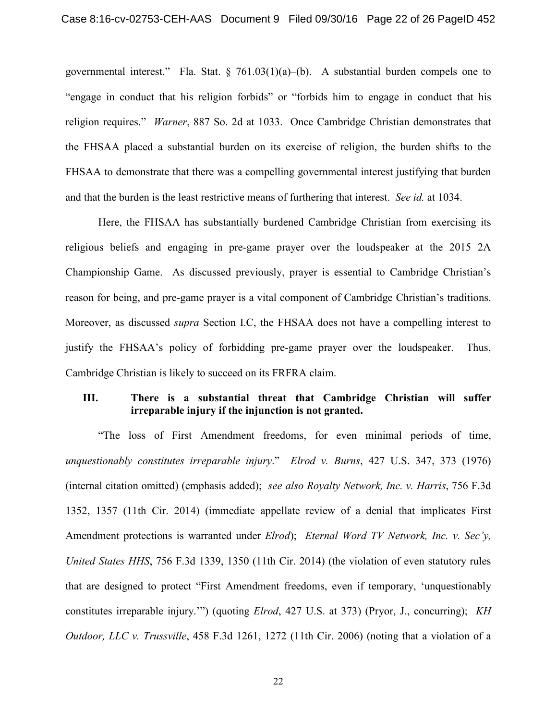governmental interest." Fla. Stat.  $\S$  761.03(1)(a)–(b). A substantial burden compels one to "engage in conduct that his religion forbids" or "forbids him to engage in conduct that his religion requires." *Warner*, 887 So. 2d at 1033. Once Cambridge Christian demonstrates that the FHSAA placed a substantial burden on its exercise of religion, the burden shifts to the FHSAA to demonstrate that there was a compelling governmental interest justifying that burden and that the burden is the least restrictive means of furthering that interest. *See id.* at 1034.

Here, the FHSAA has substantially burdened Cambridge Christian from exercising its religious beliefs and engaging in pre-game prayer over the loudspeaker at the 2015 2A Championship Game. As discussed previously, prayer is essential to Cambridge Christian's reason for being, and pre-game prayer is a vital component of Cambridge Christian's traditions. Moreover, as discussed *supra* Section I.C, the FHSAA does not have a compelling interest to justify the FHSAA's policy of forbidding pre-game prayer over the loudspeaker. Thus, Cambridge Christian is likely to succeed on its FRFRA claim.

## **III. There is a substantial threat that Cambridge Christian will suffer irreparable injury if the injunction is not granted.**

"The loss of First Amendment freedoms, for even minimal periods of time, *unquestionably constitutes irreparable injury*." *Elrod v. Burns*, 427 U.S. 347, 373 (1976) (internal citation omitted) (emphasis added); *see also Royalty Network, Inc. v. Harris*, 756 F.3d 1352, 1357 (11th Cir. 2014) (immediate appellate review of a denial that implicates First Amendment protections is warranted under *Elrod*); *Eternal Word TV Network, Inc. v. Sec'y, United States HHS*, 756 F.3d 1339, 1350 (11th Cir. 2014) (the violation of even statutory rules that are designed to protect "First Amendment freedoms, even if temporary, 'unquestionably constitutes irreparable injury.'") (quoting *Elrod*, 427 U.S. at 373) (Pryor, J., concurring); *KH Outdoor, LLC v. Trussville*, 458 F.3d 1261, 1272 (11th Cir. 2006) (noting that a violation of a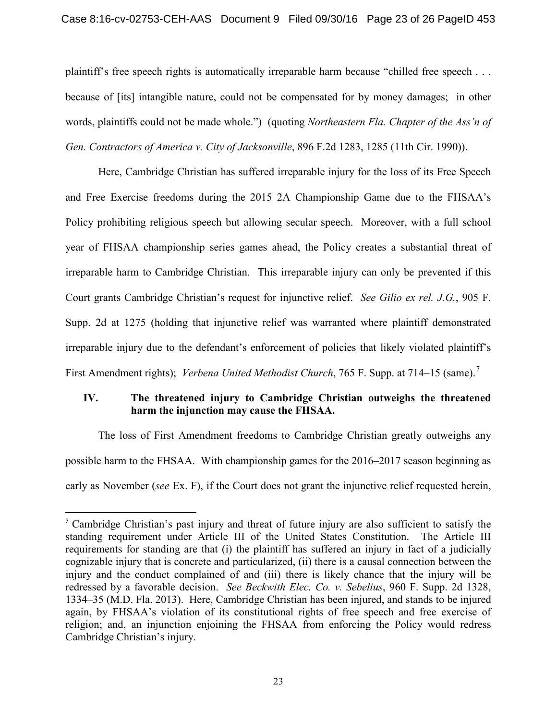plaintiff's free speech rights is automatically irreparable harm because "chilled free speech . . . because of [its] intangible nature, could not be compensated for by money damages; in other words, plaintiffs could not be made whole.") (quoting *Northeastern Fla. Chapter of the Ass'n of Gen. Contractors of America v. City of Jacksonville*, 896 F.2d 1283, 1285 (11th Cir. 1990)).

Here, Cambridge Christian has suffered irreparable injury for the loss of its Free Speech and Free Exercise freedoms during the 2015 2A Championship Game due to the FHSAA's Policy prohibiting religious speech but allowing secular speech. Moreover, with a full school year of FHSAA championship series games ahead, the Policy creates a substantial threat of irreparable harm to Cambridge Christian. This irreparable injury can only be prevented if this Court grants Cambridge Christian's request for injunctive relief. *See Gilio ex rel. J.G.*, 905 F. Supp. 2d at 1275 (holding that injunctive relief was warranted where plaintiff demonstrated irreparable injury due to the defendant's enforcement of policies that likely violated plaintiff's First Amendment rights); *Verbena United Methodist Church*, [7](#page-22-0)65 F. Supp. at 714–15 (same).<sup>7</sup>

## **IV. The threatened injury to Cambridge Christian outweighs the threatened harm the injunction may cause the FHSAA.**

The loss of First Amendment freedoms to Cambridge Christian greatly outweighs any possible harm to the FHSAA. With championship games for the 2016–2017 season beginning as early as November (*see* Ex. F), if the Court does not grant the injunctive relief requested herein,

<span id="page-22-0"></span> <sup>7</sup> Cambridge Christian's past injury and threat of future injury are also sufficient to satisfy the standing requirement under Article III of the United States Constitution. The Article III requirements for standing are that (i) the plaintiff has suffered an injury in fact of a judicially cognizable injury that is concrete and particularized, (ii) there is a causal connection between the injury and the conduct complained of and (iii) there is likely chance that the injury will be redressed by a favorable decision. *See Beckwith Elec. Co. v. Sebelius*, 960 F. Supp. 2d 1328, 1334–35 (M.D. Fla. 2013). Here, Cambridge Christian has been injured, and stands to be injured again, by FHSAA's violation of its constitutional rights of free speech and free exercise of religion; and, an injunction enjoining the FHSAA from enforcing the Policy would redress Cambridge Christian's injury.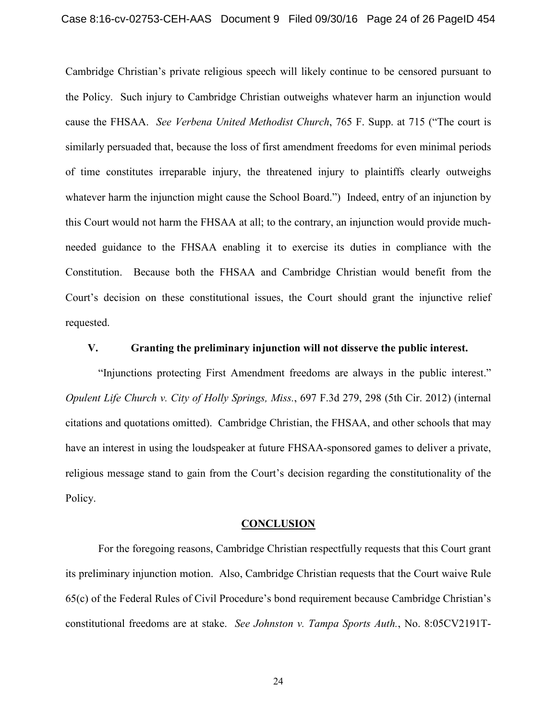Cambridge Christian's private religious speech will likely continue to be censored pursuant to the Policy. Such injury to Cambridge Christian outweighs whatever harm an injunction would cause the FHSAA. *See Verbena United Methodist Church*, 765 F. Supp. at 715 ("The court is similarly persuaded that, because the loss of first amendment freedoms for even minimal periods of time constitutes irreparable injury, the threatened injury to plaintiffs clearly outweighs whatever harm the injunction might cause the School Board.") Indeed, entry of an injunction by this Court would not harm the FHSAA at all; to the contrary, an injunction would provide muchneeded guidance to the FHSAA enabling it to exercise its duties in compliance with the Constitution. Because both the FHSAA and Cambridge Christian would benefit from the Court's decision on these constitutional issues, the Court should grant the injunctive relief requested.

#### **V. Granting the preliminary injunction will not disserve the public interest.**

"Injunctions protecting First Amendment freedoms are always in the public interest." *Opulent Life Church v. City of Holly Springs, Miss.*, 697 F.3d 279, 298 (5th Cir. 2012) (internal citations and quotations omitted). Cambridge Christian, the FHSAA, and other schools that may have an interest in using the loudspeaker at future FHSAA-sponsored games to deliver a private, religious message stand to gain from the Court's decision regarding the constitutionality of the Policy.

#### **CONCLUSION**

For the foregoing reasons, Cambridge Christian respectfully requests that this Court grant its preliminary injunction motion. Also, Cambridge Christian requests that the Court waive Rule 65(c) of the Federal Rules of Civil Procedure's bond requirement because Cambridge Christian's constitutional freedoms are at stake. *See Johnston v. Tampa Sports Auth.*, No. 8:05CV2191T-

24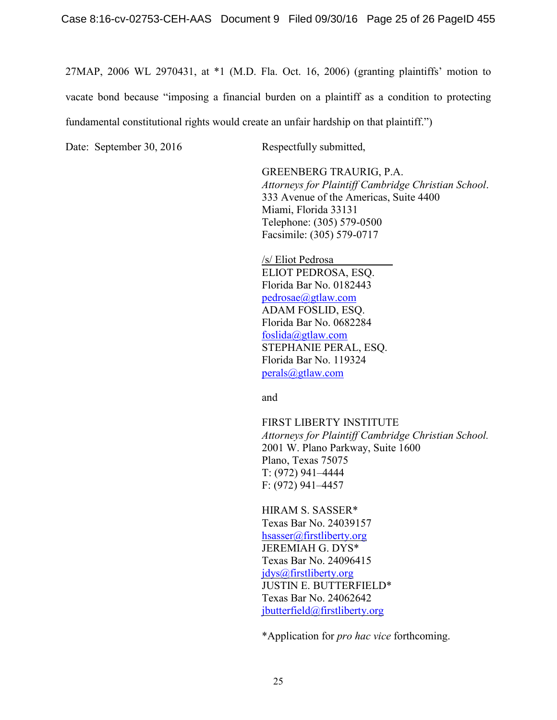27MAP, 2006 WL 2970431, at \*1 (M.D. Fla. Oct. 16, 2006) (granting plaintiffs' motion to vacate bond because "imposing a financial burden on a plaintiff as a condition to protecting fundamental constitutional rights would create an unfair hardship on that plaintiff.")

Date: September 30, 2016 Respectfully submitted,

GREENBERG TRAURIG, P.A. *Attorneys for Plaintiff Cambridge Christian School*. 333 Avenue of the Americas, Suite 4400 Miami, Florida 33131 Telephone: (305) 579-0500 Facsimile: (305) 579-0717

/s/ Eliot Pedrosa ELIOT PEDROSA, ESQ. Florida Bar No. 0182443 [pedrosae@gtlaw.com](mailto:pedrosae@gtlaw.com) ADAM FOSLID, ESQ. Florida Bar No. 0682284 [foslida@gtlaw.com](mailto:foslida@gtlaw.com) STEPHANIE PERAL, ESQ. Florida Bar No. 119324 [perals@gtlaw.com](mailto:perals@gtlaw.com)

and

FIRST LIBERTY INSTITUTE *Attorneys for Plaintiff Cambridge Christian School.* 2001 W. Plano Parkway, Suite 1600 Plano, Texas 75075 T: (972) 941–4444 F: (972) 941–4457

HIRAM S. SASSER\* Texas Bar No. 24039157 [hsasser@firstliberty.org](mailto:hsasser@firstliberty.org) JEREMIAH G. DYS\* Texas Bar No. 24096415 [jdys@firstliberty.org](mailto:jdys@firstliberty.org) JUSTIN E. BUTTERFIELD\* Texas Bar No. 24062642 [jbutterfield@firstliberty.org](mailto:jbutterfield@firstliberty.org)

\*Application for *pro hac vice* forthcoming.